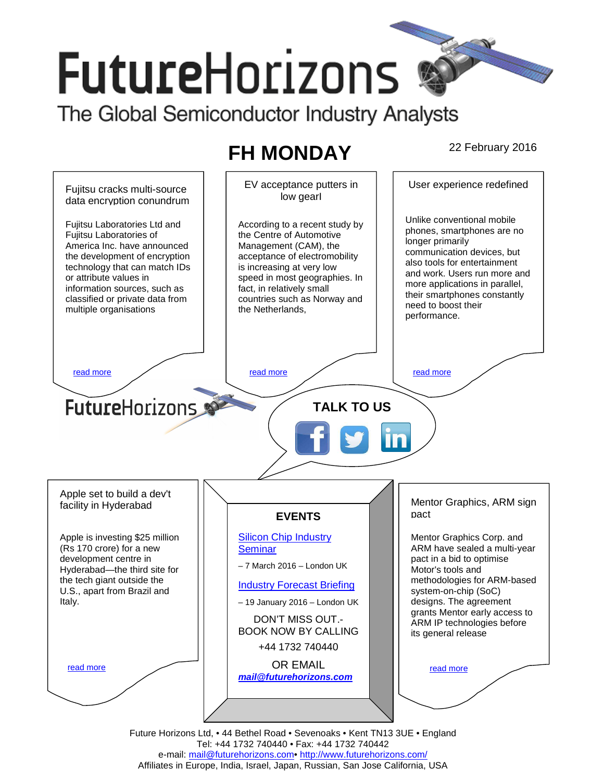# **FutureHorizons**

The Global Semiconductor Industry Analysts

## **FH MONDAY** 22 February 2016



Future Horizons Ltd, • 44 Bethel Road • Sevenoaks • Kent TN13 3UE • England Tel: +44 1732 740440 • Fax: +44 1732 740442 e-mail: mail@futurehorizons.com• http://www.futurehorizons.com/ Affiliates in Europe, India, Israel, Japan, Russian, San Jose California, USA